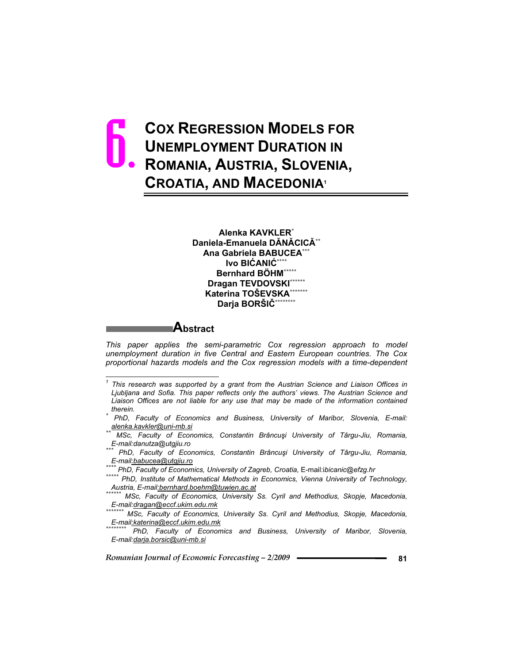# **COX REGRESSION MODELS FOR UNEMPLOYMENT DURATION IN ROMANIA, AUSTRIA, SLOVENIA, CROATIA, AND MACEDONIA<sup>1</sup>** 6.

**Alenka KAVKLER\* Daniela-Emanuela DNCIC\*\* Ana Gabriela BABUCEA\*\*\***  $I$ vo BIĆANIĆ\*\*\*\* **Bernhard BÖHM\*\*\*\*\* Dragan TEVDOVSKI\*\*\*\*\*\* Katerina TOŠEVSKA\*\*\*\*\*\*\* Darja BORŠI\*\*\*\*\*\*\*\***

**Abstract** 

*This paper applies the semi-parametric Cox regression approach to model unemployment duration in five Central and Eastern European countries. The Cox proportional hazards models and the Cox regression models with a time-dependent* 

*E-mail:danutza@utgjiu.ro \*\*\* PhD, Faculty of Economics, Constantin Brâncui University of Târgu-Jiu, Romania,* 

*E-mail:dragan@eccf.ukim.edu.mk \*\*\*\*\*\*\* MSc, Faculty of Economics, University Ss. Cyril and Methodius, Skopje, Macedonia,* 

*E-mail:katerina@eccf.ukim.edu.mk \*\*\*\*\*\*\*\* PhD, Faculty of Economics and Business, University of Maribor, Slovenia, E-mail:darja.borsic@uni-mb.si*

 $\mathbf{1}$ *1 This research was supported by a grant from the Austrian Science and Liaison Offices in Ljubljana and Sofia. This paper reflects only the authors' views. The Austrian Science and Liaison Offices are not liable for any use that may be made of the information contained* 

*therein. \* PhD, Faculty of Economics and Business, University of Maribor, Slovenia, E-mail:* 

*alenka.kavkler@uni-mb.si \*\* MSc, Faculty of Economics, Constantin Brâncui University of Târgu-Jiu, Romania,* 

E-mail<u>:babucea@utqjiu.ro</u><br>\*\*\*\* PhD, Faculty of Economics, University of Zagreb, Croatia, E-mail:ibicanic@efzg.hr<br>\*\*\*\*\* PhD, Institute of Mathematical Methods in Economics, Vienna University of Technology,<br>\*\*\*\*\*\*\*\*\*\*\*\*\*\*..

*MSc, Faculty of Economics, University Ss. Cyril and Methodius, Skopje, Macedonia,*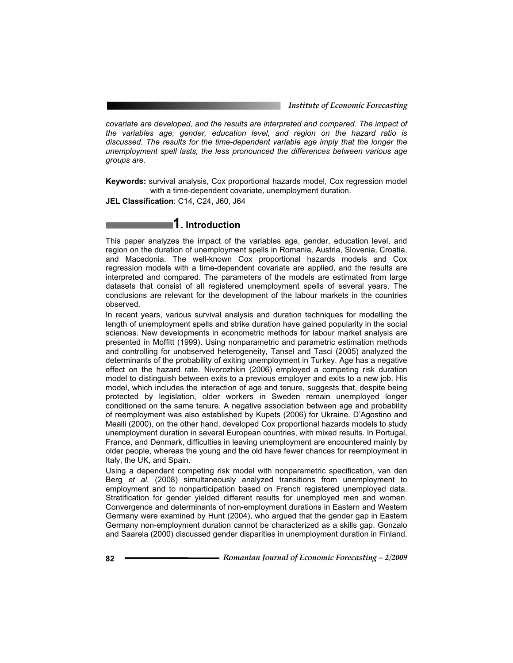*covariate are developed, and the results are interpreted and compared. The impact of the variables age, gender, education level, and region on the hazard ratio is discussed. The results for the time-dependent variable age imply that the longer the unemployment spell lasts, the less pronounced the differences between various age groups are.* 

**Keywords:** survival analysis, Cox proportional hazards model, Cox regression model with a time-dependent covariate, unemployment duration.

**JEL Classification**: C14, C24, J60, J64

# **1. Introduction**

This paper analyzes the impact of the variables age, gender, education level, and region on the duration of unemployment spells in Romania, Austria, Slovenia, Croatia, and Macedonia. The well-known Cox proportional hazards models and Cox regression models with a time-dependent covariate are applied, and the results are interpreted and compared. The parameters of the models are estimated from large datasets that consist of all registered unemployment spells of several years. The conclusions are relevant for the development of the labour markets in the countries observed.

In recent years, various survival analysis and duration techniques for modelling the length of unemployment spells and strike duration have gained popularity in the social sciences. New developments in econometric methods for labour market analysis are presented in Moffitt (1999). Using nonparametric and parametric estimation methods and controlling for unobserved heterogeneity, Tansel and Tasci (2005) analyzed the determinants of the probability of exiting unemployment in Turkey. Age has a negative effect on the hazard rate. Nivorozhkin (2006) employed a competing risk duration model to distinguish between exits to a previous employer and exits to a new job. His model, which includes the interaction of age and tenure, suggests that, despite being protected by legislation, older workers in Sweden remain unemployed longer conditioned on the same tenure. A negative association between age and probability of reemployment was also established by Kupets (2006) for Ukraine. D'Agostino and Mealli (2000), on the other hand, developed Cox proportional hazards models to study unemployment duration in several European countries, with mixed results. In Portugal, France, and Denmark, difficulties in leaving unemployment are encountered mainly by older people, whereas the young and the old have fewer chances for reemployment in Italy, the UK, and Spain.

Using a dependent competing risk model with nonparametric specification, van den Berg *et al*. (2008) simultaneously analyzed transitions from unemployment to employment and to nonparticipation based on French registered unemployed data. Stratification for gender yielded different results for unemployed men and women. Convergence and determinants of non-employment durations in Eastern and Western Germany were examined by Hunt (2004), who argued that the gender gap in Eastern Germany non-employment duration cannot be characterized as a skills gap. Gonzalo and Saarela (2000) discussed gender disparities in unemployment duration in Finland.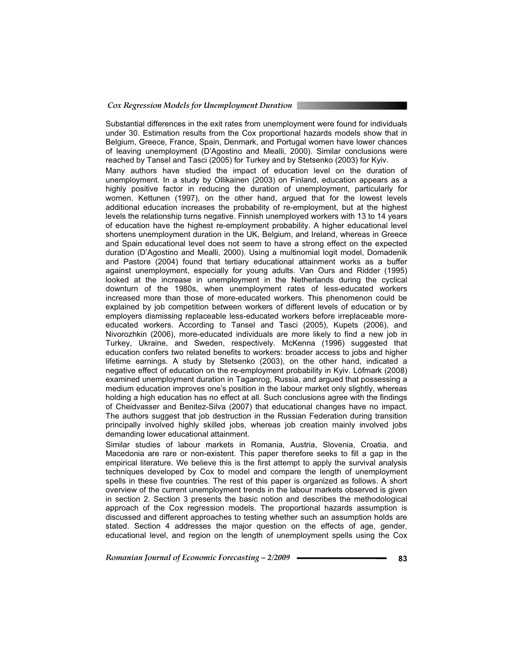Substantial differences in the exit rates from unemployment were found for individuals under 30. Estimation results from the Cox proportional hazards models show that in Belgium, Greece, France, Spain, Denmark, and Portugal women have lower chances of leaving unemployment (D'Agostino and Mealli, 2000). Similar conclusions were reached by Tansel and Tasci (2005) for Turkey and by Stetsenko (2003) for Kyiv.

Many authors have studied the impact of education level on the duration of unemployment. In a study by Ollikainen (2003) on Finland, education appears as a highly positive factor in reducing the duration of unemployment, particularly for women. Kettunen (1997), on the other hand, argued that for the lowest levels additional education increases the probability of re-employment, but at the highest levels the relationship turns negative. Finnish unemployed workers with 13 to 14 years of education have the highest re-employment probability. A higher educational level shortens unemployment duration in the UK, Belgium, and Ireland, whereas in Greece and Spain educational level does not seem to have a strong effect on the expected duration (D'Agostino and Mealli, 2000). Using a multinomial logit model, Domadenik and Pastore (2004) found that tertiary educational attainment works as a buffer against unemployment, especially for young adults. Van Ours and Ridder (1995) looked at the increase in unemployment in the Netherlands during the cyclical downturn of the 1980s, when unemployment rates of less-educated workers increased more than those of more-educated workers. This phenomenon could be explained by job competition between workers of different levels of education or by employers dismissing replaceable less-educated workers before irreplaceable moreeducated workers. According to Tansel and Tasci (2005), Kupets (2006), and Nivorozhkin (2006), more-educated individuals are more likely to find a new job in Turkey, Ukraine, and Sweden, respectively. McKenna (1996) suggested that education confers two related benefits to workers: broader access to jobs and higher lifetime earnings. A study by Stetsenko (2003), on the other hand, indicated a negative effect of education on the re-employment probability in Kyiv. Löfmark (2008) examined unemployment duration in Taganrog, Russia, and argued that possessing a medium education improves one's position in the labour market only slightly, whereas holding a high education has no effect at all. Such conclusions agree with the findings of Cheidvasser and Benitez-Silva (2007) that educational changes have no impact. The authors suggest that job destruction in the Russian Federation during transition principally involved highly skilled jobs, whereas job creation mainly involved jobs demanding lower educational attainment.

Similar studies of labour markets in Romania, Austria, Slovenia, Croatia, and Macedonia are rare or non-existent. This paper therefore seeks to fill a gap in the empirical literature. We believe this is the first attempt to apply the survival analysis techniques developed by Cox to model and compare the length of unemployment spells in these five countries. The rest of this paper is organized as follows. A short overview of the current unemployment trends in the labour markets observed is given in section 2. Section 3 presents the basic notion and describes the methodological approach of the Cox regression models. The proportional hazards assumption is discussed and different approaches to testing whether such an assumption holds are stated. Section 4 addresses the major question on the effects of age, gender, educational level, and region on the length of unemployment spells using the Cox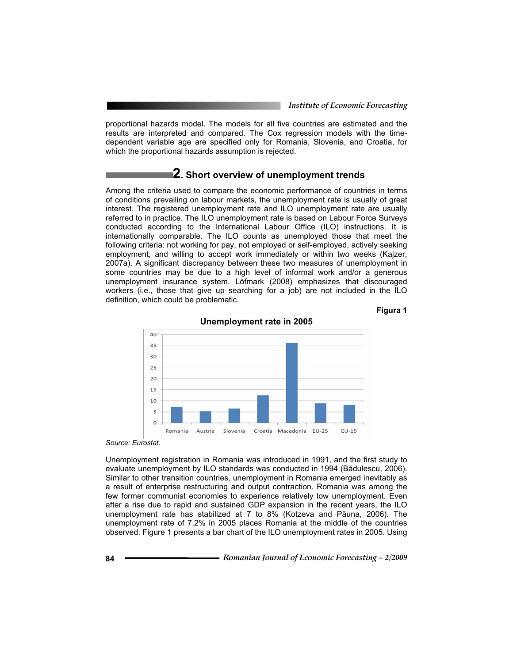proportional hazards model. The models for all five countries are estimated and the results are interpreted and compared. The Cox regression models with the timedependent variable age are specified only for Romania, Slovenia, and Croatia, for which the proportional hazards assumption is rejected.

### **2. Short overview of unemployment trends**

Among the criteria used to compare the economic performance of countries in terms of conditions prevailing on labour markets, the unemployment rate is usually of great interest. The registered unemployment rate and ILO unemployment rate are usually referred to in practice. The ILO unemployment rate is based on Labour Force Surveys conducted according to the International Labour Office (ILO) instructions. It is internationally comparable. The ILO counts as unemployed those that meet the following criteria: not working for pay, not employed or self-employed, actively seeking employment, and willing to accept work immediately or within two weeks (Kajzer, 2007a). A significant discrepancy between these two measures of unemployment in some countries may be due to a high level of informal work and/or a generous unemployment insurance system. Löfmark (2008) emphasizes that discouraged workers (i.e., those that give up searching for a job) are not included in the ILO definition, which could be problematic.





**Unemployment rate in 2005** 

*Source: Eurostat.* 

Unemployment registration in Romania was introduced in 1991, and the first study to evaluate unemployment by ILO standards was conducted in 1994 (Bădulescu, 2006). Similar to other transition countries, unemployment in Romania emerged inevitably as a result of enterprise restructuring and output contraction. Romania was among the few former communist economies to experience relatively low unemployment. Even after a rise due to rapid and sustained GDP expansion in the recent years, the ILO unemployment rate has stabilized at 7 to 8% (Kotzeva and Păuna, 2006). The unemployment rate of 7.2% in 2005 places Romania at the middle of the countries observed. Figure 1 presents a bar chart of the ILO unemployment rates in 2005. Using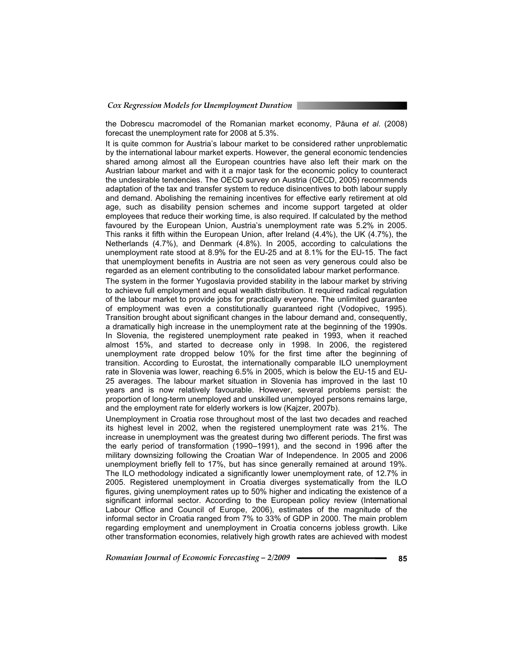the Dobrescu macromodel of the Romanian market economy, Păuna et al. (2008) forecast the unemployment rate for 2008 at 5.3%.

It is quite common for Austria's labour market to be considered rather unproblematic by the international labour market experts. However, the general economic tendencies shared among almost all the European countries have also left their mark on the Austrian labour market and with it a major task for the economic policy to counteract the undesirable tendencies. The OECD survey on Austria (OECD, 2005) recommends adaptation of the tax and transfer system to reduce disincentives to both labour supply and demand. Abolishing the remaining incentives for effective early retirement at old age, such as disability pension schemes and income support targeted at older employees that reduce their working time, is also required. If calculated by the method favoured by the European Union, Austria's unemployment rate was 5.2% in 2005. This ranks it fifth within the European Union, after Ireland (4.4%), the UK (4.7%), the Netherlands (4.7%), and Denmark (4.8%). In 2005, according to calculations the unemployment rate stood at 8.9% for the EU-25 and at 8.1% for the EU-15. The fact that unemployment benefits in Austria are not seen as very generous could also be regarded as an element contributing to the consolidated labour market performance.

The system in the former Yugoslavia provided stability in the labour market by striving to achieve full employment and equal wealth distribution. It required radical regulation of the labour market to provide jobs for practically everyone. The unlimited guarantee of employment was even a constitutionally guaranteed right (Vodopivec, 1995). Transition brought about significant changes in the labour demand and, consequently, a dramatically high increase in the unemployment rate at the beginning of the 1990s. In Slovenia, the registered unemployment rate peaked in 1993, when it reached almost 15%, and started to decrease only in 1998. In 2006, the registered unemployment rate dropped below 10% for the first time after the beginning of transition. According to Eurostat, the internationally comparable ILO unemployment rate in Slovenia was lower, reaching 6.5% in 2005, which is below the EU-15 and EU-25 averages. The labour market situation in Slovenia has improved in the last 10 years and is now relatively favourable. However, several problems persist: the proportion of long-term unemployed and unskilled unemployed persons remains large, and the employment rate for elderly workers is low (Kajzer, 2007b).

Unemployment in Croatia rose throughout most of the last two decades and reached its highest level in 2002, when the registered unemployment rate was 21%. The increase in unemployment was the greatest during two different periods. The first was the early period of transformation (1990–1991), and the second in 1996 after the military downsizing following the Croatian War of Independence. In 2005 and 2006 unemployment briefly fell to 17%, but has since generally remained at around 19%. The ILO methodology indicated a significantly lower unemployment rate, of 12.7% in 2005. Registered unemployment in Croatia diverges systematically from the ILO figures, giving unemployment rates up to 50% higher and indicating the existence of a significant informal sector. According to the European policy review (International Labour Office and Council of Europe, 2006), estimates of the magnitude of the informal sector in Croatia ranged from 7% to 33% of GDP in 2000. The main problem regarding employment and unemployment in Croatia concerns jobless growth. Like other transformation economies, relatively high growth rates are achieved with modest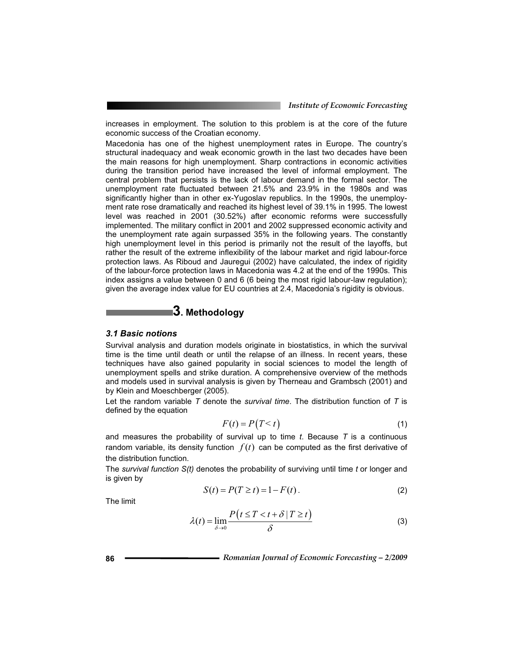increases in employment. The solution to this problem is at the core of the future economic success of the Croatian economy.

Macedonia has one of the highest unemployment rates in Europe. The country's structural inadequacy and weak economic growth in the last two decades have been the main reasons for high unemployment. Sharp contractions in economic activities during the transition period have increased the level of informal employment. The central problem that persists is the lack of labour demand in the formal sector. The unemployment rate fluctuated between 21.5% and 23.9% in the 1980s and was significantly higher than in other ex-Yugoslav republics. In the 1990s, the unemployment rate rose dramatically and reached its highest level of 39.1% in 1995. The lowest level was reached in 2001 (30.52%) after economic reforms were successfully implemented. The military conflict in 2001 and 2002 suppressed economic activity and the unemployment rate again surpassed 35% in the following years. The constantly high unemployment level in this period is primarily not the result of the layoffs, but rather the result of the extreme inflexibility of the labour market and rigid labour-force protection laws. As Riboud and Jauregui (2002) have calculated, the index of rigidity of the labour-force protection laws in Macedonia was 4.2 at the end of the 1990s. This index assigns a value between 0 and 6 (6 being the most rigid labour-law regulation); given the average index value for EU countries at 2.4, Macedonia's rigidity is obvious.

# **3. Methodology**

#### *3.1 Basic notions*

Survival analysis and duration models originate in biostatistics, in which the survival time is the time until death or until the relapse of an illness. In recent years, these techniques have also gained popularity in social sciences to model the length of unemployment spells and strike duration. A comprehensive overview of the methods and models used in survival analysis is given by Therneau and Grambsch (2001) and by Klein and Moeschberger (2005).

Let the random variable *T* denote the *survival time*. The distribution function of *T* is defined by the equation

$$
F(t) = P(T < t) \tag{1}
$$

and measures the probability of survival up to time *t*. Because *T* is a continuous and measures the probability of survival up to time *t*. Because *T* is a continuous random variable, its density function  $f(t)$  can be computed as the first derivative of the distribution function.

The *survival function S(t)* denotes the probability of surviving until time *t* or longer and is given by

$$
S(t) = P(T \ge t) = 1 - F(t).
$$
 (2)

The limit

$$
\lambda(t) = \lim_{\delta \to 0} \frac{P(t \le T < t + \delta | T \ge t)}{\delta}
$$
 (3)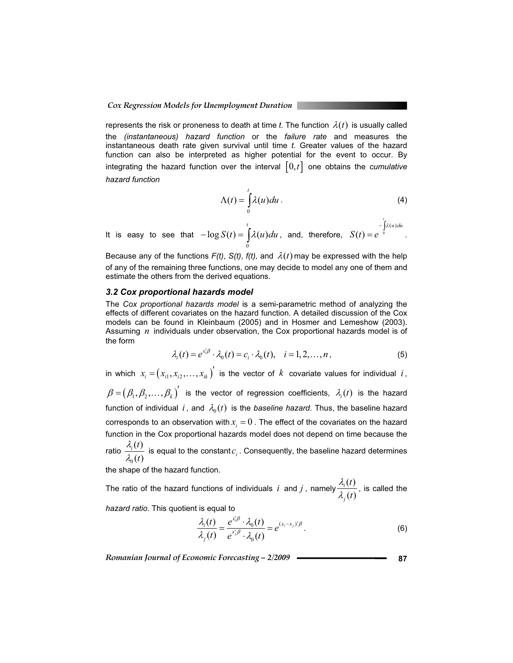represents the risk or proneness to death at time *t*. The function  $\lambda(t)$  is usually called the *(instantaneous) hazard function* or the *failure rate* and measures the instantaneous death rate given survival until time *t*. Greater values of the hazard function can also be interpreted as higher potential for the event to occur. By integrating the hazard function over the interval  $[0,t]$  one obtains the *cumulative hazard function*

$$
\Lambda(t) = \int_{0}^{t} \lambda(u) du.
$$
 (4)

It is easy to see that  $\sum_{i=0}^{n}$  $-\log S(t) = \int_{0}^{t} \lambda(u) du$ , and, therefore,  $S(t) = e^{-\int_{0}^{t} \lambda(u)}$  $\mathcal{L}$  $S(t) = e^{-\int_0^t \lambda(u) du}$ .

Because any of the functions  $F(t)$ ,  $S(t)$ ,  $f(t)$ , and  $\lambda(t)$  may be expressed with the help of any of the remaining three functions, one may decide to model any one of them and estimate the others from the derived equations.

#### *3.2 Cox proportional hazards model*

The *Cox proportional hazards model* is a semi-parametric method of analyzing the effects of different covariates on the hazard function. A detailed discussion of the Cox models can be found in Kleinbaum (2005) and in Hosmer and Lemeshow (2003). Assuming *n* individuals under observation, the Cox proportional hazards model is of the form

$$
\lambda_i(t) = e^{x_i^t \beta} \cdot \lambda_0(t) = c_i \cdot \lambda_0(t), \quad i = 1, 2, ..., n,
$$
 (5)

in which  $x_i = (x_{i1}, x_{i2}, \ldots, x_{ik})$  $x_i = (x_{i1}, x_{i2}, \ldots, x_{ik})'$  is the vector of  $k$  covariate values for individual  $i$ ,  $(\beta_1,\beta_2,\ldots,\beta_k)$  $\beta = (\beta_1, \beta_2, ..., \beta_k)'$  is the vector of regression coefficients,  $\lambda_i(t)$  is the hazard function of individual  $i$ , and  $\lambda_0(t)$  is the *baseline hazard*. Thus, the baseline hazard corresponds to an observation with  $x_i = 0$ . The effect of the covariates on the hazard function in the Cox proportional hazards model does not depend on time because the ratio  $\frac{T_1(t)}{1-t_1}$ *i t t*  $\frac{\lambda_i(t)}{\lambda_o(t)}$  is equal to the constant  $c_i$  . Consequently, the baseline hazard determines

the shape of the hazard function.

The ratio of the hazard functions of individuals i and j, namely  $\frac{\lambda_i(t)}{2}$  $\ddot{\phantom{0}}$ *j t t*  $\displaystyle{\frac{\lambda_i(t)}{\lambda_\cdot(t)}}$ , is called the

*hazard ratio*. This quotient is equal to

$$
\frac{\lambda_i(t)}{\lambda_j(t)} = \frac{e^{x_i'\beta} \cdot \lambda_0(t)}{e^{x_j'\beta} \cdot \lambda_0(t)} = e^{(x_i - x_j)'\beta}.
$$
\n(6)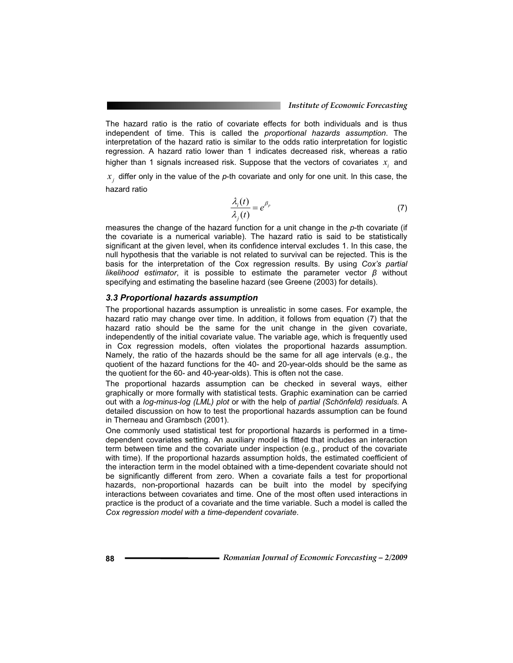The hazard ratio is the ratio of covariate effects for both individuals and is thus independent of time. This is called the *proportional hazards assumption*. The interpretation of the hazard ratio is similar to the odds ratio interpretation for logistic regression. A hazard ratio lower than 1 indicates decreased risk, whereas a ratio higher than 1 signals increased risk. Suppose that the vectors of covariates  $x_i$  and

 $x<sub>j</sub>$  differ only in the value of the  $p$ -th covariate and only for one unit. In this case, the hazard ratio

$$
\frac{\lambda_i(t)}{\lambda_i(t)} = e^{\beta_p} \tag{7}
$$

measures the change of the hazard function for a unit change in the *p*-th covariate (if the covariate is a numerical variable). The hazard ratio is said to be statistically significant at the given level, when its confidence interval excludes 1. In this case, the null hypothesis that the variable is not related to survival can be rejected. This is the basis for the interpretation of the Cox regression results. By using *Cox's partial likelihood estimator*, it is possible to estimate the parameter vector  $\beta$  without specifying and estimating the baseline hazard (see Greene (2003) for details).

#### *3.3 Proportional hazards assumption*

The proportional hazards assumption is unrealistic in some cases. For example, the hazard ratio may change over time. In addition, it follows from equation (7) that the hazard ratio should be the same for the unit change in the given covariate, independently of the initial covariate value. The variable age, which is frequently used in Cox regression models, often violates the proportional hazards assumption. Namely, the ratio of the hazards should be the same for all age intervals (e.g., the quotient of the hazard functions for the 40- and 20-year-olds should be the same as the quotient for the 60- and 40-year-olds). This is often not the case.

The proportional hazards assumption can be checked in several ways, either graphically or more formally with statistical tests. Graphic examination can be carried out with a *log-minus-log (LML) plot* or with the help of *partial (Schönfeld) residuals.* A detailed discussion on how to test the proportional hazards assumption can be found in Therneau and Grambsch (2001).

One commonly used statistical test for proportional hazards is performed in a timedependent covariates setting. An auxiliary model is fitted that includes an interaction term between time and the covariate under inspection (e.g., product of the covariate with time). If the proportional hazards assumption holds, the estimated coefficient of the interaction term in the model obtained with a time-dependent covariate should not be significantly different from zero. When a covariate fails a test for proportional hazards, non-proportional hazards can be built into the model by specifying interactions between covariates and time. One of the most often used interactions in practice is the product of a covariate and the time variable. Such a model is called the *Cox regression model with a time-dependent covariate*.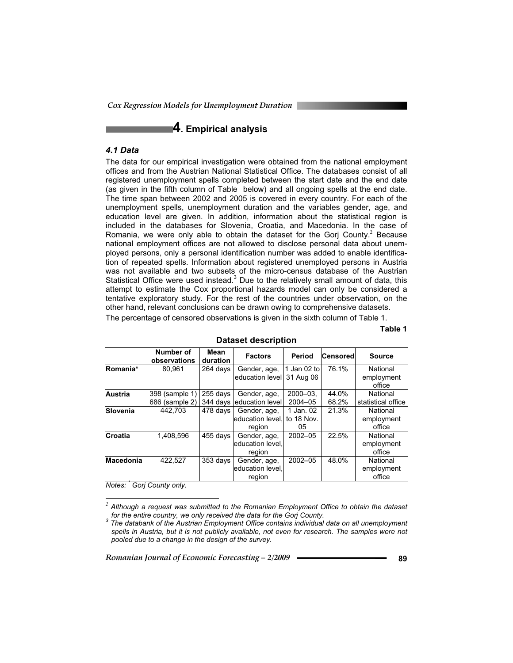*Cox Regression Models for Unemployment Duration* 

## **4. Empirical analysis**

#### *4.1 Data*

The data for our empirical investigation were obtained from the national employment offices and from the Austrian National Statistical Office. The databases consist of all registered unemployment spells completed between the start date and the end date (as given in the fifth column of Table below) and all ongoing spells at the end date. The time span between 2002 and 2005 is covered in every country. For each of the unemployment spells, unemployment duration and the variables gender, age, and education level are given. In addition, information about the statistical region is included in the databases for Slovenia, Croatia, and Macedonia. In the case of Romania, we were only able to obtain the dataset for the Gorj County. $^2$  Because national employment offices are not allowed to disclose personal data about unemployed persons, only a personal identification number was added to enable identification of repeated spells. Information about registered unemployed persons in Austria was not available and two subsets of the micro-census database of the Austrian Statistical Office were used instead. $3$  Due to the relatively small amount of data, this attempt to estimate the Cox proportional hazards model can only be considered a tentative exploratory study. For the rest of the countries under observation, on the other hand, relevant conclusions can be drawn owing to comprehensive datasets.

The percentage of censored observations is given in the sixth column of Table 1.

**Table 1** 

|                  | Number of<br>observations | Mean<br>duration | <b>Factors</b>   | Period      | Censored | <b>Source</b>      |
|------------------|---------------------------|------------------|------------------|-------------|----------|--------------------|
| Romania*         | 80,961                    | 264 days         | Gender, age,     | 1 Jan 02 to | 76.1%    | National           |
|                  |                           |                  | education level  | 31 Aug 06   |          | employment         |
|                  |                           |                  |                  |             |          | office             |
| <b>Austria</b>   | 398 (sample 1)            | 255 days         | Gender, age,     | $2000 - 03$ | 44.0%    | National           |
|                  | 686 (sample 2)            | $344$ days       | education level  | $2004 - 05$ | 68.2%    | statistical office |
| Slovenia         | 442.703                   | 478 days         | Gender, age,     | 1 Jan. 02   | 21.3%    | National           |
|                  |                           |                  | education level. | to 18 Nov.  |          | employment         |
|                  |                           |                  | region           | 05          |          | office             |
| Croatia          | 1,408,596                 | 455 days         | Gender, age,     | 2002-05     | 22.5%    | National           |
|                  |                           |                  | education level. |             |          | employment         |
|                  |                           |                  | region           |             |          | office             |
| <b>Macedonia</b> | 422,527                   | 353 days         | Gender, age,     | $2002 - 05$ | 48.0%    | National           |
|                  |                           |                  | education level. |             |          | employment         |
|                  |                           |                  | region           |             |          | office             |

**Dataset description** 

*Notes: \* Gorj County only.* 

 *<sup>2</sup> Although a request was submitted to the Romanian Employment Office to obtain the dataset for the entire country, we only received the data for the Gorj County. <sup>3</sup>*

*The databank of the Austrian Employment Office contains individual data on all unemployment*  spells in Austria, but it is not publicly available, not even for research. The samples were not *pooled due to a change in the design of the survey.*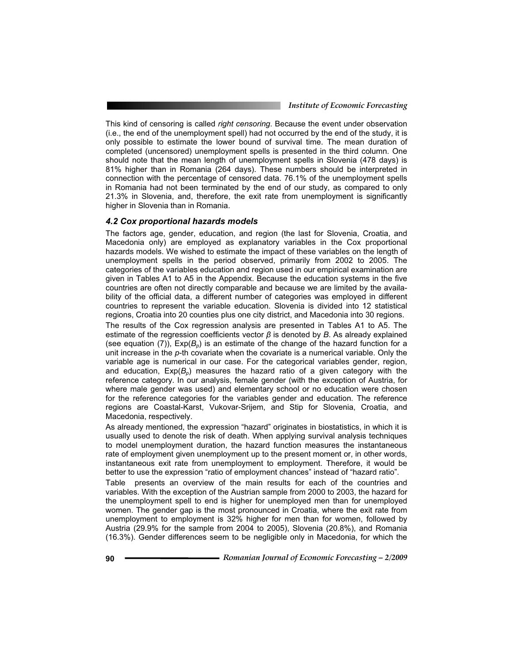This kind of censoring is called *right censoring*. Because the event under observation (i.e., the end of the unemployment spell) had not occurred by the end of the study, it is only possible to estimate the lower bound of survival time. The mean duration of completed (uncensored) unemployment spells is presented in the third column. One should note that the mean length of unemployment spells in Slovenia (478 days) is 81% higher than in Romania (264 days). These numbers should be interpreted in connection with the percentage of censored data. 76.1% of the unemployment spells in Romania had not been terminated by the end of our study, as compared to only 21.3% in Slovenia, and, therefore, the exit rate from unemployment is significantly higher in Slovenia than in Romania.

#### *4.2 Cox proportional hazards models*

The factors age, gender, education, and region (the last for Slovenia, Croatia, and Macedonia only) are employed as explanatory variables in the Cox proportional hazards models. We wished to estimate the impact of these variables on the length of unemployment spells in the period observed, primarily from 2002 to 2005. The categories of the variables education and region used in our empirical examination are given in Tables A1 to A5 in the Appendix. Because the education systems in the five countries are often not directly comparable and because we are limited by the availability of the official data, a different number of categories was employed in different countries to represent the variable education. Slovenia is divided into 12 statistical regions, Croatia into 20 counties plus one city district, and Macedonia into 30 regions.

The results of the Cox regression analysis are presented in Tables A1 to A5. The estimate of the regression coefficients vector  $\beta$  is denoted by *B*. As already explained (see equation  $(7)$ ),  $Exp(B_n)$  is an estimate of the change of the hazard function for a unit increase in the *p*-th covariate when the covariate is a numerical variable. Only the variable age is numerical in our case. For the categorical variables gender, region, and education,  $Exp(B_n)$  measures the hazard ratio of a given category with the reference category. In our analysis, female gender (with the exception of Austria, for where male gender was used) and elementary school or no education were chosen for the reference categories for the variables gender and education. The reference regions are Coastal-Karst, Vukovar-Srijem, and Stip for Slovenia, Croatia, and Macedonia, respectively.

As already mentioned, the expression "hazard" originates in biostatistics, in which it is usually used to denote the risk of death. When applying survival analysis techniques to model unemployment duration, the hazard function measures the instantaneous rate of employment given unemployment up to the present moment or, in other words, instantaneous exit rate from unemployment to employment. Therefore, it would be better to use the expression "ratio of employment chances" instead of "hazard ratio".

Table presents an overview of the main results for each of the countries and variables. With the exception of the Austrian sample from 2000 to 2003, the hazard for the unemployment spell to end is higher for unemployed men than for unemployed women. The gender gap is the most pronounced in Croatia, where the exit rate from unemployment to employment is 32% higher for men than for women, followed by Austria (29.9% for the sample from 2004 to 2005), Slovenia (20.8%), and Romania (16.3%). Gender differences seem to be negligible only in Macedonia, for which the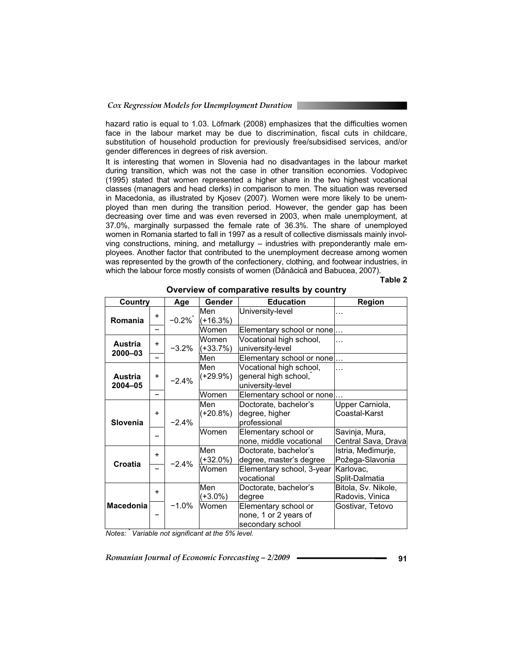hazard ratio is equal to 1.03. Löfmark (2008) emphasizes that the difficulties women face in the labour market may be due to discrimination, fiscal cuts in childcare, substitution of household production for previously free/subsidised services, and/or gender differences in degrees of risk aversion.

It is interesting that women in Slovenia had no disadvantages in the labour market during transition, which was not the case in other transition economies. Vodopivec (1995) stated that women represented a higher share in the two highest vocational classes (managers and head clerks) in comparison to men. The situation was reversed in Macedonia, as illustrated by Kjosev (2007). Women were more likely to be unemployed than men during the transition period. However, the gender gap has been decreasing over time and was even reversed in 2003, when male unemployment, at 37.0%, marginally surpassed the female rate of 36.3%. The share of unemployed women in Romania started to fall in 1997 as a result of collective dismissals mainly involving constructions, mining, and metallurgy – industries with preponderantly male employees. Another factor that contributed to the unemployment decrease among women was represented by the growth of the confectionery, clothing, and footwear industries, in which the labour force mostly consists of women (Dănăcică and Babucea, 2007).

#### **Table 2**

| Country                   |                      | Age      | Gender            | <b>Education</b>                                                    | Region                                 |
|---------------------------|----------------------|----------|-------------------|---------------------------------------------------------------------|----------------------------------------|
| Romania                   | $+$                  | $-0.2\%$ | Men<br>$(+16.3%)$ | University-level                                                    |                                        |
|                           |                      |          | Women             | Elementary school or none                                           |                                        |
| <b>Austria</b><br>2000-03 | $\ddot{}$            | $-3.2%$  | Women<br>(+33.7%) | Vocational high school,<br>university-level                         |                                        |
|                           |                      |          | Men               | Elementary school or none                                           |                                        |
| Austria<br>2004-05        | $+$                  | $-2.4%$  | Men<br>(+29.9%)   | Vocational high school,<br>general high school,<br>university-level |                                        |
|                           |                      |          | Women             | Elementary school or none.                                          |                                        |
| Slovenia                  | $\ddot{}$<br>$-2.4%$ |          | Men<br>$(+20.8%)$ | Doctorate, bachelor's<br>degree, higher<br>professional             | Upper Carniola,<br>Coastal-Karst       |
|                           |                      |          | Women             | Elementary school or<br>none, middle vocational                     | Savinja, Mura,<br>Central Sava, Drava  |
| Croatia                   | $\ddot{}$            | $-2.4%$  | Men<br>(+32.0%)   | Doctorate, bachelor's<br>degree, master's degree                    | Istria, Međimurje,<br>Požega-Slavonia  |
|                           |                      |          | Women             | Elementary school, 3-year<br>vocational                             | Karlovac,<br>Split-Dalmatia            |
|                           | $+$                  |          | Men<br>(+3.0%)    | Doctorate, bachelor's<br>degree                                     | Bitola, Sv. Nikole,<br>Radovis, Vinica |
| <b>Macedonia</b>          |                      | $-1.0%$  | Women             | Elementary school or<br>none, 1 or 2 years of<br>secondary school   | Gostivar, Tetovo                       |

**Overview of comparative results by country** 

*Notes: \* Variable not significant at the 5% level.*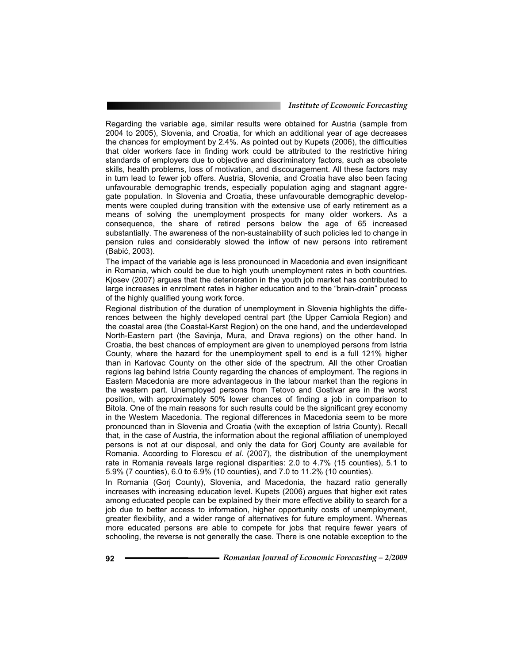Regarding the variable age, similar results were obtained for Austria (sample from 2004 to 2005), Slovenia, and Croatia, for which an additional year of age decreases the chances for employment by 2.4%. As pointed out by Kupets (2006), the difficulties that older workers face in finding work could be attributed to the restrictive hiring standards of employers due to objective and discriminatory factors, such as obsolete skills, health problems, loss of motivation, and discouragement. All these factors may in turn lead to fewer job offers. Austria, Slovenia, and Croatia have also been facing unfavourable demographic trends, especially population aging and stagnant aggregate population. In Slovenia and Croatia, these unfavourable demographic developments were coupled during transition with the extensive use of early retirement as a means of solving the unemployment prospects for many older workers. As a consequence, the share of retired persons below the age of 65 increased substantially. The awareness of the non-sustainability of such policies led to change in pension rules and considerably slowed the inflow of new persons into retirement (Babić, 2003).

The impact of the variable age is less pronounced in Macedonia and even insignificant in Romania, which could be due to high youth unemployment rates in both countries. Kjosev (2007) argues that the deterioration in the youth job market has contributed to large increases in enrolment rates in higher education and to the "brain-drain" process of the highly qualified young work force.

Regional distribution of the duration of unemployment in Slovenia highlights the differences between the highly developed central part (the Upper Carniola Region) and the coastal area (the Coastal-Karst Region) on the one hand, and the underdeveloped North-Eastern part (the Savinja, Mura, and Drava regions) on the other hand. In Croatia, the best chances of employment are given to unemployed persons from Istria County, where the hazard for the unemployment spell to end is a full 121% higher than in Karlovac County on the other side of the spectrum. All the other Croatian regions lag behind Istria County regarding the chances of employment. The regions in Eastern Macedonia are more advantageous in the labour market than the regions in the western part. Unemployed persons from Tetovo and Gostivar are in the worst position, with approximately 50% lower chances of finding a job in comparison to Bitola. One of the main reasons for such results could be the significant grey economy in the Western Macedonia. The regional differences in Macedonia seem to be more pronounced than in Slovenia and Croatia (with the exception of Istria County). Recall that, in the case of Austria, the information about the regional affiliation of unemployed persons is not at our disposal, and only the data for Gorj County are available for Romania. According to Florescu *et al*. (2007), the distribution of the unemployment rate in Romania reveals large regional disparities: 2.0 to 4.7% (15 counties), 5.1 to 5.9% (7 counties), 6.0 to 6.9% (10 counties), and 7.0 to 11.2% (10 counties).

In Romania (Gorj County), Slovenia, and Macedonia, the hazard ratio generally increases with increasing education level. Kupets (2006) argues that higher exit rates among educated people can be explained by their more effective ability to search for a job due to better access to information, higher opportunity costs of unemployment, greater flexibility, and a wider range of alternatives for future employment. Whereas more educated persons are able to compete for jobs that require fewer years of schooling, the reverse is not generally the case. There is one notable exception to the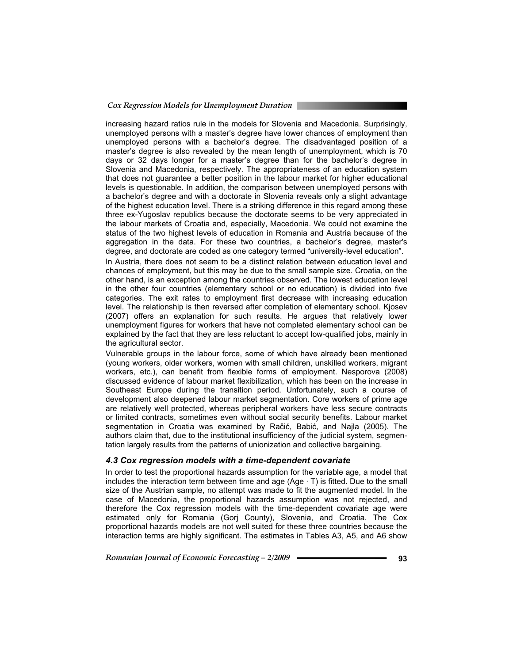increasing hazard ratios rule in the models for Slovenia and Macedonia. Surprisingly, unemployed persons with a master's degree have lower chances of employment than unemployed persons with a bachelor's degree. The disadvantaged position of a master's degree is also revealed by the mean length of unemployment, which is 70 days or 32 days longer for a master's degree than for the bachelor's degree in Slovenia and Macedonia, respectively. The appropriateness of an education system that does not guarantee a better position in the labour market for higher educational levels is questionable. In addition, the comparison between unemployed persons with a bachelor's degree and with a doctorate in Slovenia reveals only a slight advantage of the highest education level. There is a striking difference in this regard among these three ex-Yugoslav republics because the doctorate seems to be very appreciated in the labour markets of Croatia and, especially, Macedonia. We could not examine the status of the two highest levels of education in Romania and Austria because of the aggregation in the data. For these two countries, a bachelor's degree, master's degree, and doctorate are coded as one category termed "university-level education".

In Austria, there does not seem to be a distinct relation between education level and chances of employment, but this may be due to the small sample size. Croatia, on the other hand, is an exception among the countries observed. The lowest education level in the other four countries (elementary school or no education) is divided into five categories. The exit rates to employment first decrease with increasing education level. The relationship is then reversed after completion of elementary school. Kjosev (2007) offers an explanation for such results. He argues that relatively lower unemployment figures for workers that have not completed elementary school can be explained by the fact that they are less reluctant to accept low-qualified jobs, mainly in the agricultural sector.

Vulnerable groups in the labour force, some of which have already been mentioned (young workers, older workers, women with small children, unskilled workers, migrant workers, etc.), can benefit from flexible forms of employment. Nesporova (2008) discussed evidence of labour market flexibilization, which has been on the increase in Southeast Europe during the transition period. Unfortunately, such a course of development also deepened labour market segmentation. Core workers of prime age are relatively well protected, whereas peripheral workers have less secure contracts or limited contracts, sometimes even without social security benefits. Labour market segmentation in Croatia was examined by Račić, Babić, and Najla (2005). The authors claim that, due to the institutional insufficiency of the judicial system, segmentation largely results from the patterns of unionization and collective bargaining.

#### *4.3 Cox regression models with a time-dependent covariate*

In order to test the proportional hazards assumption for the variable age, a model that includes the interaction term between time and age  $(Age \cdot T)$  is fitted. Due to the small size of the Austrian sample, no attempt was made to fit the augmented model. In the case of Macedonia, the proportional hazards assumption was not rejected, and therefore the Cox regression models with the time-dependent covariate age were estimated only for Romania (Gorj County), Slovenia, and Croatia. The Cox proportional hazards models are not well suited for these three countries because the interaction terms are highly significant. The estimates in Tables A3, A5, and A6 show

Romanian Journal of Economic Forecasting – 2/2009 **••••••••••••••••••••••••••••••••••** 93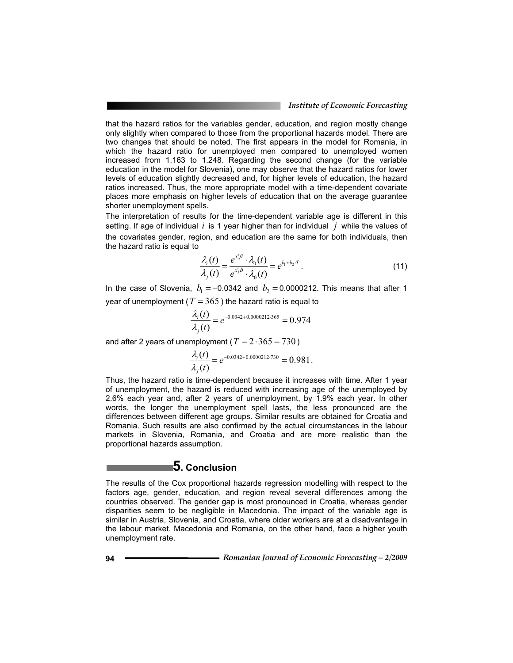that the hazard ratios for the variables gender, education, and region mostly change only slightly when compared to those from the proportional hazards model. There are two changes that should be noted. The first appears in the model for Romania, in which the hazard ratio for unemployed men compared to unemployed women increased from 1.163 to 1.248. Regarding the second change (for the variable education in the model for Slovenia), one may observe that the hazard ratios for lower levels of education slightly decreased and, for higher levels of education, the hazard ratios increased. Thus, the more appropriate model with a time-dependent covariate places more emphasis on higher levels of education that on the average guarantee shorter unemployment spells.

The interpretation of results for the time-dependent variable age is different in this setting. If age of individual *i* is 1 year higher than for individual *j* while the values of the covariates gender, region, and education are the same for both individuals, then the hazard ratio is equal to

$$
\frac{\lambda_i(t)}{\lambda_j(t)} = \frac{e^{x_i/\beta} \cdot \lambda_0(t)}{e^{x_j/\beta} \cdot \lambda_0(t)} = e^{b_1 + b_2 \cdot T}.
$$
\n(11)

In the case of Slovenia,  $b_1 = -0.0342$  and  $b_2 = 0.0000212$ . This means that after 1 year of unemployment ( $T = 365$ ) the hazard ratio is equal to

$$
\frac{\lambda_i(t)}{\lambda_i(t)} = e^{-0.0342 + 0.0000212.365} = 0.974
$$

and after 2 years of unemployment ( $T = 2.365 = 730$ )

$$
\frac{\lambda_i(t)}{\lambda_i(t)} = e^{-0.0342 + 0.0000212 \cdot 730} = 0.981.
$$

Thus, the hazard ratio is time-dependent because it increases with time. After 1 year of unemployment, the hazard is reduced with increasing age of the unemployed by 2.6% each year and, after 2 years of unemployment, by 1.9% each year. In other words, the longer the unemployment spell lasts, the less pronounced are the differences between different age groups. Similar results are obtained for Croatia and Romania. Such results are also confirmed by the actual circumstances in the labour markets in Slovenia, Romania, and Croatia and are more realistic than the proportional hazards assumption.

### **5. Conclusion**

The results of the Cox proportional hazards regression modelling with respect to the factors age, gender, education, and region reveal several differences among the countries observed. The gender gap is most pronounced in Croatia, whereas gender disparities seem to be negligible in Macedonia. The impact of the variable age is similar in Austria, Slovenia, and Croatia, where older workers are at a disadvantage in the labour market. Macedonia and Romania, on the other hand, face a higher youth unemployment rate.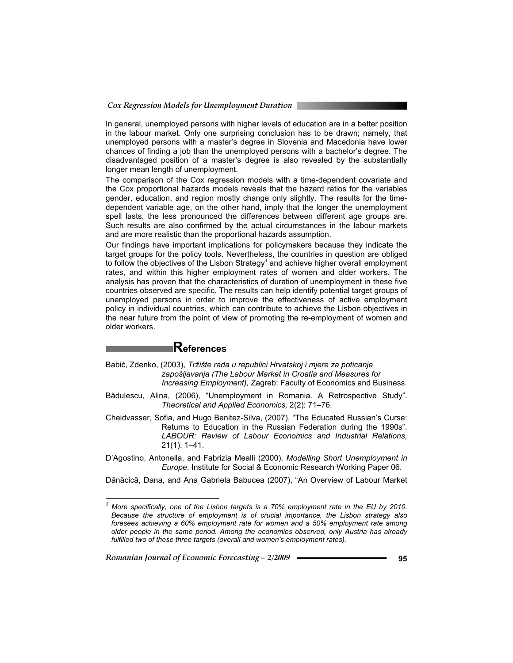In general, unemployed persons with higher levels of education are in a better position in the labour market. Only one surprising conclusion has to be drawn; namely, that unemployed persons with a master's degree in Slovenia and Macedonia have lower chances of finding a job than the unemployed persons with a bachelor's degree. The disadvantaged position of a master's degree is also revealed by the substantially longer mean length of unemployment.

The comparison of the Cox regression models with a time-dependent covariate and the Cox proportional hazards models reveals that the hazard ratios for the variables gender, education, and region mostly change only slightly. The results for the timedependent variable age, on the other hand, imply that the longer the unemployment spell lasts, the less pronounced the differences between different age groups are. Such results are also confirmed by the actual circumstances in the labour markets and are more realistic than the proportional hazards assumption.

Our findings have important implications for policymakers because they indicate the target groups for the policy tools. Nevertheless, the countries in question are obliged to follow the objectives of the Lisbon Strategy $^3$  and achieve higher overall employment rates, and within this higher employment rates of women and older workers. The analysis has proven that the characteristics of duration of unemployment in these five countries observed are specific. The results can help identify potential target groups of unemployed persons in order to improve the effectiveness of active employment policy in individual countries, which can contribute to achieve the Lisbon objectives in the near future from the point of view of promoting the re-employment of women and older workers.

## **References**

- Babić, Zdenko, (2003), *Tržište rada u republici Hrvatskoj i mjere za poticanje zapošljavanja (The Labour Market in Croatia and Measures for Increasing Employment),* Zagreb: Faculty of Economics and Business.
- Bădulescu, Alina, (2006), "Unemployment in Romania. A Retrospective Study". *Theoretical and Applied Economics,* 2(2): 71–76.
- Cheidvasser, Sofia, and Hugo Benitez-Silva, (2007), "The Educated Russian's Curse: Returns to Education in the Russian Federation during the 1990s". *LABOUR: Review of Labour Economics and Industrial Relations,* 21(1): 1–41.

D'Agostino, Antonella, and Fabrizia Mealli (2000), *Modelling Short Unemployment in Europe*. Institute for Social & Economic Research Working Paper 06.

Dănăcică, Dana, and Ana Gabriela Babucea (2007), "An Overview of Labour Market

 *<sup>3</sup> More specifically, one of the Lisbon targets is a 70% employment rate in the EU by 2010. Because the structure of employment is of crucial importance, the Lisbon strategy also foresees achieving a 60% employment rate for women and a 50% employment rate among older people in the same period. Among the economies observed, only Austria has already fulfilled two of these three targets (overall and women's employment rates).*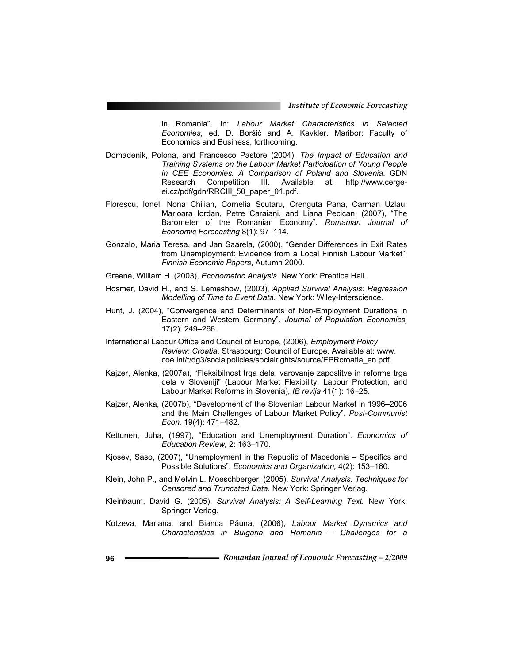in Romania". In: *Labour Market Characteristics in Selected Economies*, ed. D. Boršič and A. Kavkler. Maribor: Faculty of Economics and Business, forthcoming.

- Domadenik, Polona, and Francesco Pastore (2004), *The Impact of Education and Training Systems on the Labour Market Participation of Young People in CEE Economies. A Comparison of Poland and Slovenia*. GDN Research Competition III. Available at: http://www.cergeei.cz/pdf/gdn/RRCIII\_50\_paper\_01.pdf.
- Florescu, Ionel, Nona Chilian, Cornelia Scutaru, Crenguta Pana, Carman Uzlau, Marioara Iordan, Petre Caraiani, and Liana Pecican, (2007), "The Barometer of the Romanian Economy". *Romanian Journal of Economic Forecasting* 8(1): 97–114.
- Gonzalo, Maria Teresa, and Jan Saarela, (2000), "Gender Differences in Exit Rates from Unemployment: Evidence from a Local Finnish Labour Market". *Finnish Economic Papers*, Autumn 2000.
- Greene, William H. (2003), *Econometric Analysis*. New York: Prentice Hall.
- Hosmer, David H., and S. Lemeshow, (2003), *Applied Survival Analysis: Regression Modelling of Time to Event Data.* New York: Wiley-Interscience.
- Hunt, J. (2004), "Convergence and Determinants of Non-Employment Durations in Eastern and Western Germany". *Journal of Population Economics,* 17(2): 249–266.
- International Labour Office and Council of Europe, (2006), *Employment Policy Review: Croatia*. Strasbourg: Council of Europe. Available at: www. coe.int/t/dg3/socialpolicies/socialrights/source/EPRcroatia\_en.pdf.
- Kajzer, Alenka, (2007a), "Fleksibilnost trga dela, varovanje zaposlitve in reforme trga dela v Sloveniji" (Labour Market Flexibility, Labour Protection, and Labour Market Reforms in Slovenia), *IB revija* 41(1): 16–25.
- Kajzer, Alenka, (2007b), "Development of the Slovenian Labour Market in 1996–2006 and the Main Challenges of Labour Market Policy". *Post-Communist Econ.* 19(4): 471–482.
- Kettunen, Juha, (1997), "Education and Unemployment Duration". *Economics of Education Review,* 2: 163–170.
- Kjosev, Saso, (2007), "Unemployment in the Republic of Macedonia Specifics and Possible Solutions". *Economics and Organization,* 4(2): 153–160.
- Klein, John P., and Melvin L. Moeschberger, (2005), *Survival Analysis: Techniques for Censored and Truncated Data*. New York: Springer Verlag.
- Kleinbaum, David G. (2005), *Survival Analysis: A Self-Learning Text.* New York: Springer Verlag.
- Kotzeva, Mariana, and Bianca Păuna, (2006), Labour Market Dynamics and *Characteristics in Bulgaria and Romania – Challenges for a*
- **96** *Romanian Journal of Economic Forecasting 2/2009*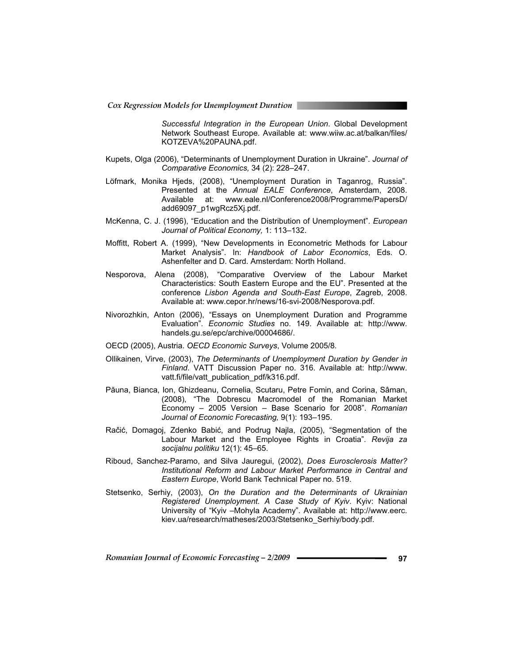*Successful Integration in the European Union*. Global Development Network Southeast Europe. Available at: www.wiiw.ac.at/balkan/files/ KOTZEVA%20PAUNA.pdf.

- Kupets, Olga (2006), "Determinants of Unemployment Duration in Ukraine". *Journal of Comparative Economics,* 34 (2): 228–247.
- Löfmark, Monika Hjeds, (2008), "Unemployment Duration in Taganrog, Russia". Presented at the *Annual EALE Conference*, Amsterdam, 2008. Available at: www.eale.nl/Conference2008/Programme/PapersD/ add69097\_p1wgRcz5Xj.pdf.
- McKenna, C. J. (1996), "Education and the Distribution of Unemployment". *European Journal of Political Economy,* 1: 113–132.
- Moffitt, Robert A. (1999), "New Developments in Econometric Methods for Labour Market Analysis". In: *Handbook of Labor Economics*, Eds. O. Ashenfelter and D. Card. Amsterdam: North Holland.
- Nesporova, Alena (2008), "Comparative Overview of the Labour Market Characteristics: South Eastern Europe and the EU". Presented at the conference *Lisbon Agenda and South-East Europe*, Zagreb, 2008. Available at: www.cepor.hr/news/16-svi-2008/Nesporova.pdf.
- Nivorozhkin, Anton (2006), "Essays on Unemployment Duration and Programme Evaluation". *Economic Studies* no. 149. Available at: http://www. handels.gu.se/epc/archive/00004686/.
- OECD (2005), Austria. *OECD Economic Surveys*, Volume 2005/8.
- Ollikainen, Virve, (2003), *The Determinants of Unemployment Duration by Gender in Finland*. VATT Discussion Paper no. 316. Available at: http://www. vatt.fi/file/vatt\_publication\_pdf/k316.pdf.
- Păuna, Bianca, Ion, Ghizdeanu, Cornelia, Scutaru, Petre Fomin, and Corina, Sâman, (2008), "The Dobrescu Macromodel of the Romanian Market Economy – 2005 Version – Base Scenario for 2008". *Romanian Journal of Economic Forecasting,* 9(1): 193–195.
- Račić, Domagoj, Zdenko Babić, and Podrug Najla, (2005), "Segmentation of the Labour Market and the Employee Rights in Croatia". *Revija za socijalnu politiku* 12(1): 45–65.
- Riboud, Sanchez-Paramo, and Silva Jauregui, (2002), *Does Eurosclerosis Matter? Institutional Reform and Labour Market Performance in Central and Eastern Europe*, World Bank Technical Paper no. 519.
- Stetsenko, Serhiy, (2003), *On the Duration and the Determinants of Ukrainian Registered Unemployment. A Case Study of Kyiv*. Kyiv: National University of "Kyiv –Mohyla Academy". Available at: http://www.eerc. kiev.ua/research/matheses/2003/Stetsenko\_Serhiy/body.pdf.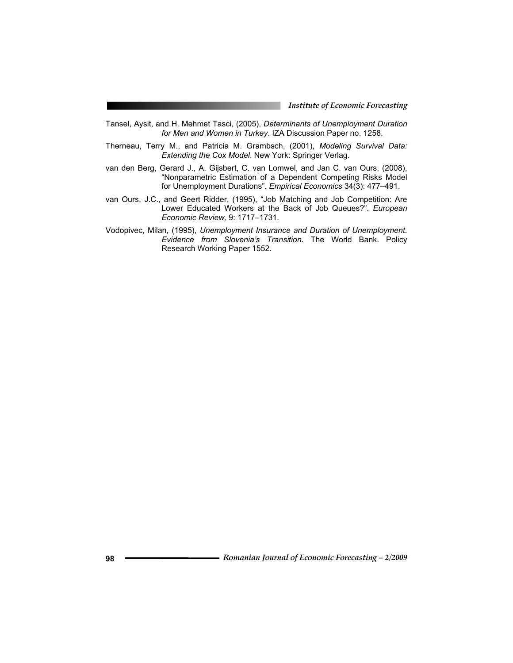- Tansel, Aysit, and H. Mehmet Tasci, (2005), *Determinants of Unemployment Duration for Men and Women in Turkey*. IZA Discussion Paper no. 1258.
- Therneau, Terry M., and Patricia M. Grambsch, (2001), *Modeling Survival Data: Extending the Cox Model*. New York: Springer Verlag.
- van den Berg, Gerard J., A. Gijsbert, C. van Lomwel, and Jan C. van Ours, (2008), "Nonparametric Estimation of a Dependent Competing Risks Model for Unemployment Durations". *Empirical Economics* 34(3): 477–491.
- van Ours, J.C., and Geert Ridder, (1995), "Job Matching and Job Competition: Are Lower Educated Workers at the Back of Job Queues?". *European Economic Review,* 9: 1717–1731.
- Vodopivec, Milan, (1995), *Unemployment Insurance and Duration of Unemployment. Evidence from Slovenia's Transition*. The World Bank. Policy Research Working Paper 1552.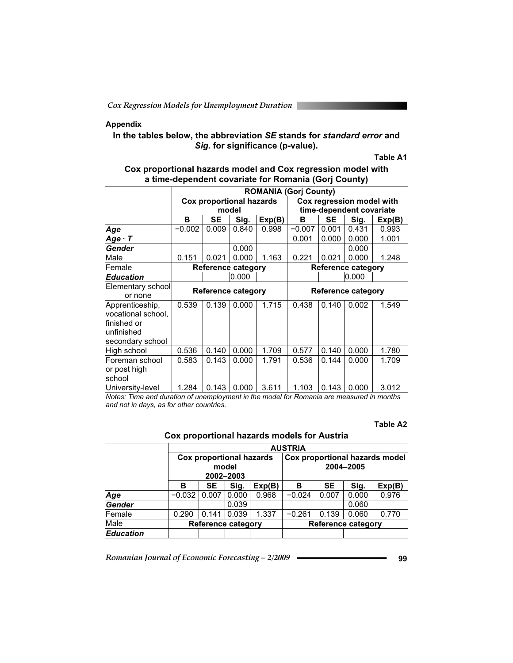### **Appendix**

### **In the tables below, the abbreviation** *SE* **stands for** *standard error* **and**  *Sig.* **for significance (p-value).**

#### **Table A1**

### **Cox proportional hazards model and Cox regression model with a time-dependent covariate for Romania (Gorj County)**

|                    | <b>ROMANIA (Gori County)</b> |           |                                 |        |                           |                           |                           |        |  |  |  |
|--------------------|------------------------------|-----------|---------------------------------|--------|---------------------------|---------------------------|---------------------------|--------|--|--|--|
|                    |                              |           | <b>Cox proportional hazards</b> |        |                           |                           | Cox regression model with |        |  |  |  |
|                    |                              |           | model                           |        | time-dependent covariate  |                           |                           |        |  |  |  |
|                    | в                            | <b>SE</b> | Sig.                            | Exp(B) | В                         | <b>SE</b>                 | Sig.                      | Exp(B) |  |  |  |
| Age                | $-0.002$                     | 0.009     | 0.840                           | 0.998  | $-0.007$                  | 0.001                     | 0.431                     | 0.993  |  |  |  |
| $Age \cdot T$      |                              |           |                                 |        | 0.001                     | 0.000                     | 0.000                     | 1.001  |  |  |  |
| Gender             |                              |           | 0.000                           |        |                           |                           | 0.000                     |        |  |  |  |
| Male               | 0.151                        | 0.021     | 0.000                           | 1.163  | 0.221                     | 0.021                     | 0.000                     | 1.248  |  |  |  |
| Female             |                              |           | <b>Reference category</b>       |        | <b>Reference category</b> |                           |                           |        |  |  |  |
| <b>Education</b>   |                              |           | 0.000                           |        |                           |                           | 0.000                     |        |  |  |  |
| Elementary school  |                              |           | <b>Reference category</b>       |        |                           | <b>Reference category</b> |                           |        |  |  |  |
| or none            |                              |           |                                 |        |                           |                           |                           |        |  |  |  |
| Apprenticeship,    | 0.539                        | 0.139     | 0.000                           | 1.715  | 0.438                     | 0.140                     | 0.002                     | 1.549  |  |  |  |
| vocational school, |                              |           |                                 |        |                           |                           |                           |        |  |  |  |
| lfinished or       |                              |           |                                 |        |                           |                           |                           |        |  |  |  |
| unfinished         |                              |           |                                 |        |                           |                           |                           |        |  |  |  |
| secondary school   |                              |           |                                 |        |                           |                           |                           |        |  |  |  |
| High school        | 0.536                        | 0.140     | 0.000                           | 1.709  | 0.577                     | 0.140                     | 0.000                     | 1.780  |  |  |  |
| Foreman school     | 0.583                        | 0.143     | 0.000                           | 1.791  | 0.536                     | 0.144                     | 0.000                     | 1.709  |  |  |  |
| or post high       |                              |           |                                 |        |                           |                           |                           |        |  |  |  |
| school             |                              |           |                                 |        |                           |                           |                           |        |  |  |  |
| University-level   | 1.284                        | 0.143     | 0.000                           | 3.611  | 1.103                     | 0.143                     | 0.000                     | 3.012  |  |  |  |

*Notes: Time and duration of unemployment in the model for Romania are measured in months and not in days, as for other countries.* 

#### **Table A2**

**Cox proportional hazards models for Austria** 

|                  |          | <b>AUSTRIA</b> |                                                       |        |                                             |           |       |        |  |  |  |
|------------------|----------|----------------|-------------------------------------------------------|--------|---------------------------------------------|-----------|-------|--------|--|--|--|
|                  |          |                | <b>Cox proportional hazards</b><br>model<br>2002-2003 |        | Cox proportional hazards model<br>2004-2005 |           |       |        |  |  |  |
|                  | в        | SE             | Sig.                                                  | Exp(B) | в                                           | <b>SE</b> | Sig.  | Exp(B) |  |  |  |
| Age              | $-0.032$ | 0.007          | 0.000                                                 | 0.968  | $-0.024$                                    | 0.007     | 0.000 | 0.976  |  |  |  |
| Gender           |          |                | 0.039                                                 |        |                                             |           | 0.060 |        |  |  |  |
| lFemale          | 0.290    | 0.141          | 0.039                                                 | 1.337  | $-0.261$                                    | 0.139     | 0.060 | 0.770  |  |  |  |
| Male             |          |                | <b>Reference category</b>                             |        | <b>Reference category</b>                   |           |       |        |  |  |  |
| <b>Education</b> |          |                |                                                       |        |                                             |           |       |        |  |  |  |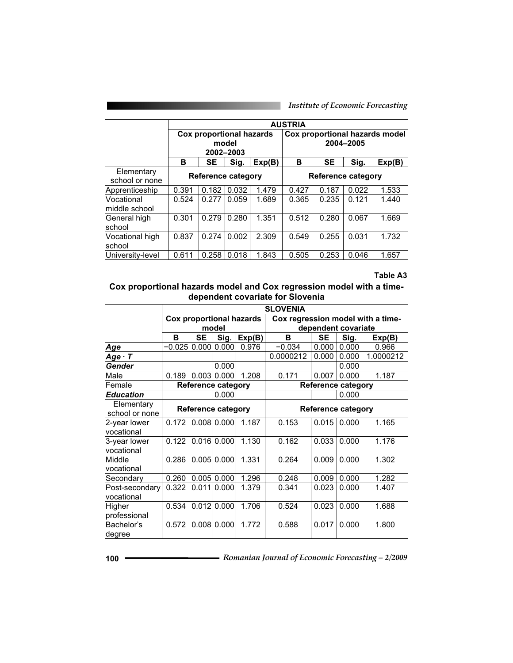|                              |       |                                 |                    |        | <b>AUSTRIA</b>                              |           |       |        |  |
|------------------------------|-------|---------------------------------|--------------------|--------|---------------------------------------------|-----------|-------|--------|--|
|                              |       | <b>Cox proportional hazards</b> | model<br>2002-2003 |        | Cox proportional hazards model<br>2004-2005 |           |       |        |  |
|                              | в     | <b>SE</b>                       | Sig.               | Exp(B) | в                                           | <b>SE</b> | Sig.  | Exp(B) |  |
| Elementary<br>school or none |       | <b>Reference category</b>       |                    |        | <b>Reference category</b>                   |           |       |        |  |
| Apprenticeship               | 0.391 | 0.182                           | 0.032              | 1.479  | 0.427                                       | 0.187     | 0.022 | 1.533  |  |
| Vocational<br>middle school  | 0.524 | 0.277                           | 0.059              | 1.689  | 0.365                                       | 0.235     | 0.121 | 1.440  |  |
| General high<br>school       | 0.301 | 0.279                           | 0.280              | 1.351  | 0.512                                       | 0.280     | 0.067 | 1.669  |  |
| Vocational high<br>school    | 0.837 | 0.274                           | 0.002              | 2.309  | 0.549                                       | 0.255     | 0.031 | 1.732  |  |
| University-level             | 0.611 | 0.258                           | 0.018              | 1.843  | 0.505                                       | 0.253     | 0.046 | 1.657  |  |

#### **Table A3**

### **Cox proportional hazards model and Cox regression model with a timedependent covariate for Slovenia**

|                              | <b>SLOVENIA</b> |           |                           |                                 |                           |                           |       |                                   |  |  |  |
|------------------------------|-----------------|-----------|---------------------------|---------------------------------|---------------------------|---------------------------|-------|-----------------------------------|--|--|--|
|                              |                 |           |                           | <b>Cox proportional hazards</b> |                           |                           |       | Cox regression model with a time- |  |  |  |
|                              |                 |           | model                     |                                 | dependent covariate       |                           |       |                                   |  |  |  |
|                              | В               | <b>SE</b> | Sig.                      | Exp(B)                          | в                         | SE                        | Sig.  | Exp(B)                            |  |  |  |
| Age                          | $-0.025$        | 0.000     | 0.000                     | 0.976                           | $-0.034$                  | 0.000                     | 0.000 | 0.966                             |  |  |  |
| $Age \cdot T$                |                 |           |                           |                                 | 0.0000212                 | 0.000                     | 0.000 | 1.0000212                         |  |  |  |
| Gender                       |                 |           | 0.000                     |                                 |                           |                           | 0.000 |                                   |  |  |  |
| Male                         | 0.189           |           | 0.003 0.000               | 1.208                           | 0.171                     | 0.007                     | 0.000 | 1.187                             |  |  |  |
| Female                       |                 |           | <b>Reference category</b> |                                 |                           | <b>Reference category</b> |       |                                   |  |  |  |
| <b>Education</b>             |                 |           | 0.000                     |                                 |                           |                           | 0.000 |                                   |  |  |  |
| Elementary                   |                 |           | <b>Reference category</b> |                                 | <b>Reference category</b> |                           |       |                                   |  |  |  |
| school or none               |                 |           |                           |                                 |                           |                           |       |                                   |  |  |  |
| 2-year lower<br>vocational   | 0.172           |           | 0.008 0.000               | 1.187                           | 0.153                     | 0.015                     | 0.000 | 1.165                             |  |  |  |
| 3-year lower<br>vocational   | 0.122           |           | 0.016 0.000               | 1.130                           | 0.162                     | 0.033                     | 0.000 | 1.176                             |  |  |  |
| Middle<br>vocational         | 0.286           |           | 0.005 0.000               | 1.331                           | 0.264                     | 0.009                     | 0.000 | 1.302                             |  |  |  |
| Secondary                    | 0.260           |           | $0.005 \, 0.000$          | 1.296                           | 0.248                     | 0.009                     | 0.000 | 1.282                             |  |  |  |
| Post-secondary<br>vocational | 0.322           | 0.011     | 0.000                     | 1.379                           | 0.341                     | 0.023                     | 0.000 | 1.407                             |  |  |  |
| Higher<br>professional       | 0.534           |           | $0.012$ 0.000             | 1.706                           | 0.524                     | 0.023                     | 0.000 | 1.688                             |  |  |  |
| Bachelor's<br>degree         | 0.572           |           | $0.008$ 0.000             | 1.772                           | 0.588                     | 0.017                     | 0.000 | 1.800                             |  |  |  |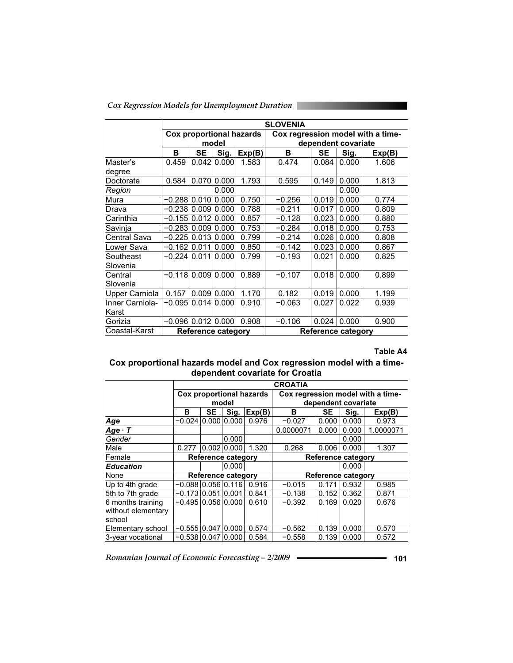|  | Cox Regression Models for Unemployment Duration |  |
|--|-------------------------------------------------|--|
|  |                                                 |  |

|                 |                      | <b>SLOVENIA</b>           |             |                          |                           |                     |       |                                   |  |  |  |
|-----------------|----------------------|---------------------------|-------------|--------------------------|---------------------------|---------------------|-------|-----------------------------------|--|--|--|
|                 |                      |                           |             | Cox proportional hazards |                           |                     |       | Cox regression model with a time- |  |  |  |
|                 |                      |                           | model       |                          |                           | dependent covariate |       |                                   |  |  |  |
|                 | в                    | <b>SE</b>                 | Sig.        | Exp(B)                   | в                         | SE                  | Sig.  | Exp(B)                            |  |  |  |
| Master's        | 0.459                |                           | 0.042 0.000 | 1.583                    | 0.474                     | 0.084               | 0.000 | 1.606                             |  |  |  |
| degree          |                      |                           |             |                          |                           |                     |       |                                   |  |  |  |
| Doctorate       | 0.584                |                           | 0.070 0.000 | 1.793                    | 0.595                     | 0.149               | 0.000 | 1.813                             |  |  |  |
| Region          |                      |                           | 0.000       |                          |                           |                     | 0.000 |                                   |  |  |  |
| Mura            | -0.288 0.010 0.000   |                           |             | 0.750                    | $-0.256$                  | 0.019               | 0.000 | 0.774                             |  |  |  |
| Drava           |                      |                           |             | 0.788                    | $-0.211$                  | 0.017               | 0.000 | 0.809                             |  |  |  |
| Carinthia       | $-0.155$             | 0.012                     | 0.000       | 0.857                    | $-0.128$                  | 0.023               | 0.000 | 0.880                             |  |  |  |
| Savinja         | $-0.283$             | 0.00910.000               |             | 0.753                    | $-0.284$                  | 0.018               | 0.000 | 0.753                             |  |  |  |
| Central Sava    | $-0.225$             |                           | 0.013 0.000 | 0.799                    | $-0.214$                  | 0.026               | 0.000 | 0.808                             |  |  |  |
| Lower Sava      | -0.162               | 0.011                     | 0.000       | 0.850                    | $-0.142$                  | 0.023               | 0.000 | 0.867                             |  |  |  |
| Southeast       | -0.22410.011         |                           | 0.000       | 0.799                    | $-0.193$                  | 0.021               | 0.000 | 0.825                             |  |  |  |
| Slovenia        |                      |                           |             |                          |                           |                     |       |                                   |  |  |  |
| Central         | $-0.118 0.009 0.000$ |                           |             | 0.889                    | $-0.107$                  | 0.018               | 0.000 | 0.899                             |  |  |  |
| Slovenia        |                      |                           |             |                          |                           |                     |       |                                   |  |  |  |
| Upper Carniola  | 0.157                |                           | 0.009 0.000 | 1.170                    | 0.182                     | 0.019               | 0.000 | 1.199                             |  |  |  |
| Inner Carniola- | -0.09510.01410.000   |                           |             | 0.910                    | -0.063                    | 0.027               | 0.022 | 0.939                             |  |  |  |
| Karst           |                      |                           |             |                          |                           |                     |       |                                   |  |  |  |
| Gorizia         | -0.0961              | 0.012                     | 0.000       | 0.908                    | $-0.106$                  | 0.024               | 0.000 | 0.900                             |  |  |  |
| Coastal-Karst   |                      | <b>Reference category</b> |             |                          | <b>Reference category</b> |                     |       |                                   |  |  |  |

### **Table A4**

### **Cox proportional hazards model and Cox regression model with a timedependent covariate for Croatia**

|                    |                      | <b>CROATIA</b> |                    |                          |                                   |           |                     |           |  |  |  |
|--------------------|----------------------|----------------|--------------------|--------------------------|-----------------------------------|-----------|---------------------|-----------|--|--|--|
|                    |                      |                |                    | Cox proportional hazards | Cox regression model with a time- |           |                     |           |  |  |  |
|                    |                      |                | model              |                          |                                   |           | dependent covariate |           |  |  |  |
|                    | в                    | <b>SE</b>      | Sig.               | Exp(B)                   | B                                 | <b>SE</b> | Sig.                | Exp(B)    |  |  |  |
| Age                | $-0.024$ 0.000       |                | 0.000              | 0.976                    | $-0.027$                          | 0.000     | 0.000               | 0.973     |  |  |  |
| $Age \cdot T$      |                      |                |                    |                          | 0.0000071                         | 0.000     | 0.000               | 1.0000071 |  |  |  |
| Gender             |                      |                | 0.000              |                          |                                   |           | 0.000               |           |  |  |  |
| Male               | 0.277                |                | 0.002 0.000        | 1.320                    | 0.268                             | 0.006     | 0.000               | 1.307     |  |  |  |
| Female             |                      |                | Reference category |                          | Reference category                |           |                     |           |  |  |  |
| Education          |                      |                | 0.000              |                          |                                   |           | 0.000               |           |  |  |  |
| None               |                      |                | Reference category |                          | Reference category                |           |                     |           |  |  |  |
| Up to 4th grade    | $-0.088$ 0.056 0.116 |                |                    | 0.916                    | $-0.015$                          | 0.171     | 0.932               | 0.985     |  |  |  |
| 5th to 7th grade   | $-0.173$             | 0.051          | 0.001              | 0.841                    | $-0.138$                          | 0.152     | 0.362               | 0.871     |  |  |  |
| 6 months training  | -0.495 0.056 0.000   |                |                    | 0.610                    | $-0.392$                          | 0.169     | 0.020               | 0.676     |  |  |  |
| without elementary |                      |                |                    |                          |                                   |           |                     |           |  |  |  |
| Ischool            |                      |                |                    |                          |                                   |           |                     |           |  |  |  |
| Elementary school  | $-0.555$             | 0.047          | 0.000              | 0.574                    | $-0.562$                          | 0.139     | 0.000               | 0.570     |  |  |  |
| 3-year vocational  | -0.53810.0471        |                | 0.000              | 0.584                    | $-0.558$                          | 0.139     | 0.000               | 0.572     |  |  |  |

*Romanian Journal of Economic Forecasting – 2/2009* **- • • • 101 101**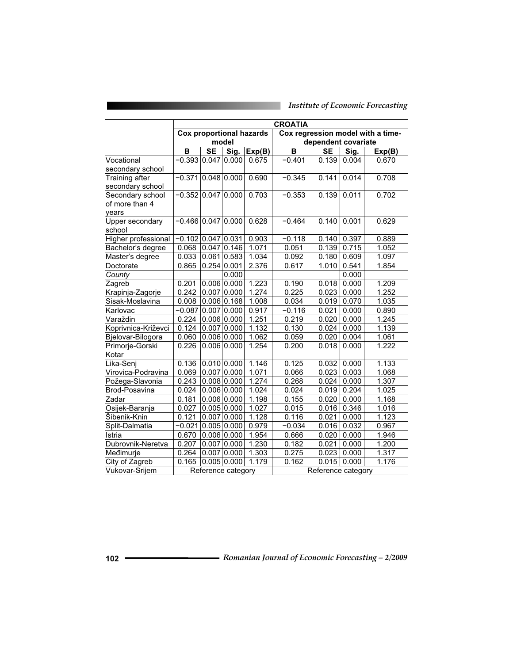|                            | <b>CROATIA</b>            |               |                    |                                 |                                   |           |                     |        |  |
|----------------------------|---------------------------|---------------|--------------------|---------------------------------|-----------------------------------|-----------|---------------------|--------|--|
|                            |                           |               |                    | <b>Cox proportional hazards</b> | Cox regression model with a time- |           |                     |        |  |
|                            |                           |               | model              |                                 |                                   |           | dependent covariate |        |  |
|                            | B                         | <b>SE</b>     | Sig.               | Exp(B)                          | B                                 | <b>SE</b> | Sig.                | Exp(B) |  |
| Vocational                 | $-0.393 0.047 $           |               | 0.000              | 0.675                           | $-0.401$                          | 0.139     | 0.004               | 0.670  |  |
| secondary school           |                           |               |                    |                                 |                                   |           |                     |        |  |
| Training after             | $-0.371$ 0.048 0.000      |               |                    | 0.690                           | $-0.345$                          | 0.141     | 0.014               | 0.708  |  |
| secondary school           |                           |               |                    |                                 |                                   |           |                     |        |  |
| Secondary school           | $-0.352$ 0.047            |               | 0.000              | 0.703                           | $-0.353$                          | 0.139     | 0.011               | 0.702  |  |
| of more than 4             |                           |               |                    |                                 |                                   |           |                     |        |  |
| years                      |                           |               |                    |                                 |                                   |           |                     |        |  |
| Upper secondary            | $-0.466$ 0.047 0.000      |               |                    | 0.628                           | $-0.464$                          | 0.140     | 0.001               | 0.629  |  |
| school                     |                           |               |                    |                                 |                                   |           |                     |        |  |
| <b>Higher professional</b> | $\overline{-0.102}$ 0.047 |               | 0.031              | 0.903                           | $-0.118$                          | 0.140     | 0.397               | 0.889  |  |
| Bachelor's degree          | 0.068                     | $0.047$ 0.146 |                    | 1.071                           | 0.051                             | 0.139     | 0.715               | 1.052  |  |
| Master's degree            | 0.033                     | $0.061$ 0.583 |                    | 1.034                           | 0.092                             | 0.180     | 0.609               | 1.097  |  |
| Doctorate                  | 0.865                     |               | 0.254 0.001        | 2.376                           | 0.617                             | 1.010     | 0.541               | 1.854  |  |
| County                     |                           |               | 0.000              |                                 |                                   |           | 0.000               |        |  |
| Zagreb                     | 0.201                     |               | $0.006$ 0.000      | 1.223                           | 0.190                             | 0.018     | 0.000               | 1.209  |  |
| Krapinja-Zagorje           | 0.242                     | 0.007 0.000   |                    | 1.274                           | 0.225                             | 0.023     | 0.000               | 1.252  |  |
| Sisak-Moslavina            | 0.008                     |               | $0.006$ $0.168$    | 1.008                           | 0.034                             | 0.019     | 0.070               | 1.035  |  |
| Karlovac                   | $-0.087$                  | $0.007$ 0.000 |                    | 0.917                           | $-0.116$                          | 0.021     | 0.000               | 0.890  |  |
| Varaždin                   | 0.224                     | $0.006$ 0.000 |                    | 1.251                           | 0.219                             | 0.020     | 0.000               | 1.245  |  |
| Koprivnica-Križevci        | 0.124                     |               | $0.007$ 0.000      | 1.132                           | 0.130                             | 0.024     | 0.000               | 1.139  |  |
| Bjelovar-Bilogora          | 0.060                     |               | $0.006$ 0.000      | 1.062                           | 0.059                             | 0.020     | 0.004               | 1.061  |  |
| Primorje-Gorski            | 0.226                     |               | 0.006 0.000        | 1.254                           | 0.200                             | 0.018     | 0.000               | 1.222  |  |
| Kotar                      |                           |               |                    |                                 |                                   |           |                     |        |  |
| Lika-Senj                  | 0.136                     |               | $0.010$ 0.000      | 1.146                           | 0.125                             | 0.032     | 0.000               | 1.133  |  |
| Virovica-Podravina         | 0.069                     |               | $0.007$ 0.000      | 1.071                           | 0.066                             | 0.023     | 0.003               | 1.068  |  |
| Požega-Slavonia            | 0.243                     |               | $0.008$ 0.000      | 1.274                           | 0.268                             | 0.024     | 0.000               | 1.307  |  |
| Brod-Posavina              | 0.024                     |               | 0.006 0.000        | 1.024                           | 0.024                             | 0.019     | 0.204               | 1.025  |  |
| Zadar                      | 0.181                     | $0.006$ 0.000 |                    | 1.198                           | 0.155                             | 0.020     | 0.000               | 1.168  |  |
| Osijek-Baranja             | 0.027                     |               | $0.005$ 0.000      | 1.027                           | 0.015                             | 0.016     | 0.346               | 1.016  |  |
| Šibenik-Knin               | 0.121                     |               | $0.007$ 0.000      | 1.128                           | 0.116                             | 0.021     | 0.000               | 1.123  |  |
| Split-Dalmatia             | $-0.021$ 0.005 0.000      |               |                    | 0.979                           | $-0.034$                          | 0.016     | 0.032               | 0.967  |  |
| Istria                     | 0.670                     |               | $0.006$ 0.000      | 1.954                           | 0.666                             | 0.020     | 0.000               | 1.946  |  |
| Dubrovnik-Neretva          | 0.207                     |               | $0.007$ 0.000      | 1.230                           | 0.182                             | 0.021     | 0.000               | 1.200  |  |
| Međimurje                  | 0.264                     |               | $0.007$ 0.000      | 1.303                           | 0.275                             | 0.023     | 0.000               | 1.317  |  |
| City of Zagreb             | 0.165                     |               | $0.005$ 0.000      | 1.179                           | 0.162                             | 0.015     | 0.000               | 1.176  |  |
| Vukovar-Srijem             |                           |               | Reference category |                                 |                                   |           | Reference category  |        |  |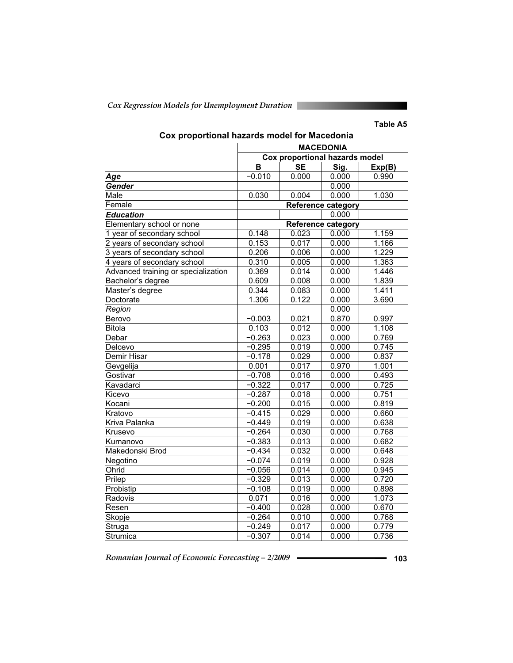*Cox Regression Models for Unemployment Duration* 

### **Table A5**

|                                     | <b>MACEDONIA</b> |                                       |                           |        |  |  |  |
|-------------------------------------|------------------|---------------------------------------|---------------------------|--------|--|--|--|
|                                     |                  | <b>Cox proportional hazards model</b> |                           |        |  |  |  |
|                                     | в                | <b>SE</b>                             | Sig.                      | Exp(B) |  |  |  |
| Age                                 | $-0.010$         | 0.000                                 | 0.000                     | 0.990  |  |  |  |
| Gender                              |                  |                                       | 0.000                     |        |  |  |  |
| Male                                | 0.030            | 0.004                                 | 0.000                     | 1.030  |  |  |  |
| Female                              |                  |                                       | <b>Reference category</b> |        |  |  |  |
| <b>Education</b>                    |                  |                                       | 0.000                     |        |  |  |  |
| Elementary school or none           |                  |                                       | <b>Reference category</b> |        |  |  |  |
| 1 year of secondary school          | 0.148            | 0.023                                 | 0.000                     | 1.159  |  |  |  |
| 2 years of secondary school         | 0.153            | 0.017                                 | 0.000                     | 1.166  |  |  |  |
| 3 years of secondary school         | 0.206            | 0.006                                 | 0.000                     | 1.229  |  |  |  |
| 4 years of secondary school         | 0.310            | 0.005                                 | 0.000                     | 1.363  |  |  |  |
| Advanced training or specialization | 0.369            | 0.014                                 | 0.000                     | 1.446  |  |  |  |
| Bachelor's degree                   | 0.609            | 0.008                                 | 0.000                     | 1.839  |  |  |  |
| Master's degree                     | 0.344            | 0.083                                 | 0.000                     | 1.411  |  |  |  |
| Doctorate                           | 1.306            | 0.122                                 | 0.000                     | 3.690  |  |  |  |
| Region                              |                  |                                       | 0.000                     |        |  |  |  |
| Berovo                              | $-0.003$         | 0.021                                 | 0.870                     | 0.997  |  |  |  |
| <b>Bitola</b>                       | 0.103            | 0.012                                 | 0.000                     | 1.108  |  |  |  |
| Debar                               | $-0.263$         | 0.023                                 | 0.000                     | 0.769  |  |  |  |
| Delcevo                             | $-0.295$         | 0.019                                 | 0.000                     | 0.745  |  |  |  |
| <b>Demir Hisar</b>                  | $-0.178$         | 0.029                                 | 0.000                     | 0.837  |  |  |  |
| Gevgelija                           | 0.001            | 0.017                                 | 0.970                     | 1.001  |  |  |  |
| Gostivar                            | $-0.708$         | 0.016                                 | 0.000                     | 0.493  |  |  |  |
| Kavadarci                           | $-0.322$         | 0.017                                 | 0.000                     | 0.725  |  |  |  |
| Kicevo                              | $-0.287$         | 0.018                                 | 0.000                     | 0.751  |  |  |  |
| Kocani                              | $-0.200$         | 0.015                                 | 0.000                     | 0.819  |  |  |  |
| Kratovo                             | $-0.415$         | 0.029                                 | 0.000                     | 0.660  |  |  |  |
| Kriva Palanka                       | $-0.449$         | 0.019                                 | 0.000                     | 0.638  |  |  |  |
| Krusevo                             | $-0.264$         | 0.030                                 | 0.000                     | 0.768  |  |  |  |
| Kumanovo                            | $-0.383$         | 0.013                                 | 0.000                     | 0.682  |  |  |  |
| Makedonski Brod                     | $-0.434$         | 0.032                                 | 0.000                     | 0.648  |  |  |  |
| Negotino                            | $-0.074$         | 0.019                                 | 0.000                     | 0.928  |  |  |  |
| Ohrid                               | $-0.056$         | 0.014                                 | 0.000                     | 0.945  |  |  |  |
| Prilep                              | $-0.329$         | 0.013                                 | 0.000                     | 0.720  |  |  |  |
| Probistip                           | $-0.108$         | 0.019                                 | 0.000                     | 0.898  |  |  |  |
| Radovis                             | 0.071            | 0.016                                 | 0.000                     | 1.073  |  |  |  |
| Resen                               | $-0.400$         | 0.028                                 | 0.000                     | 0.670  |  |  |  |
| Skopje                              | $-0.264$         | 0.010                                 | 0.000                     | 0.768  |  |  |  |
| Struga                              | $-0.249$         | 0.017                                 | 0.000                     | 0.779  |  |  |  |
| Strumica                            | $-0.307$         | 0.014                                 | 0.000                     | 0.736  |  |  |  |

# **Cox proportional hazards model for Macedonia**

Romanian Journal of Economic Forecasting – 2/2009 **- • • • 103 103**